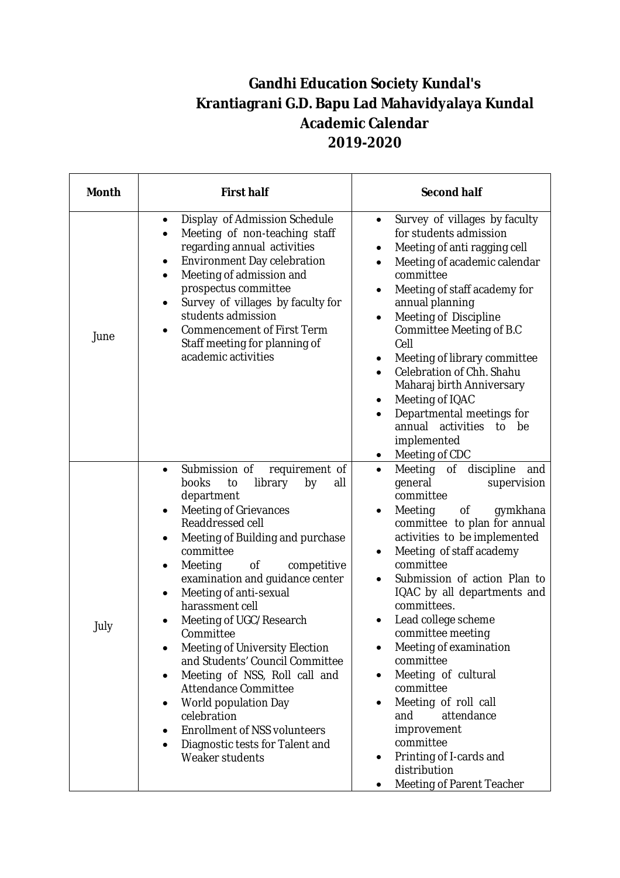## **Gandhi Education Society Kundal's Krantiagrani G.D. Bapu Lad Mahavidyalaya Kundal Academic Calendar 2019-2020**

| <b>Month</b> | <b>First half</b>                                                                                                                                                                                                                                                                                                                                                                                                                                                                                                                                                                                                                                                                              | <b>Second half</b>                                                                                                                                                                                                                                                                                                                                                                                                                                                                                                                                                                                |
|--------------|------------------------------------------------------------------------------------------------------------------------------------------------------------------------------------------------------------------------------------------------------------------------------------------------------------------------------------------------------------------------------------------------------------------------------------------------------------------------------------------------------------------------------------------------------------------------------------------------------------------------------------------------------------------------------------------------|---------------------------------------------------------------------------------------------------------------------------------------------------------------------------------------------------------------------------------------------------------------------------------------------------------------------------------------------------------------------------------------------------------------------------------------------------------------------------------------------------------------------------------------------------------------------------------------------------|
| June         | Display of Admission Schedule<br>Meeting of non-teaching staff<br>regarding annual activities<br>Environment Day celebration<br>Meeting of admission and<br>$\bullet$<br>prospectus committee<br>Survey of villages by faculty for<br>$\bullet$<br>students admission<br><b>Commencement of First Term</b><br>Staff meeting for planning of<br>academic activities                                                                                                                                                                                                                                                                                                                             | Survey of villages by faculty<br>$\bullet$<br>for students admission<br>Meeting of anti ragging cell<br>Meeting of academic calendar<br>committee<br>Meeting of staff academy for<br>٠<br>annual planning<br>Meeting of Discipline<br>Committee Meeting of B.C<br>Cell<br>Meeting of library committee<br>Celebration of Chh. Shahu<br>Maharaj birth Anniversary<br>Meeting of IQAC<br>Departmental meetings for<br>annual<br>activities<br>to<br>be<br>implemented<br>Meeting of CDC                                                                                                             |
| July         | Submission of<br>requirement of<br>books<br>library<br>to<br>by<br>all<br>department<br><b>Meeting of Grievances</b><br>$\bullet$<br>Readdressed cell<br>Meeting of Building and purchase<br>٠<br>committee<br>of<br>Meeting<br>competitive<br>٠<br>examination and guidance center<br>Meeting of anti-sexual<br>harassment cell<br>Meeting of UGC/Research<br>Committee<br>Meeting of University Election<br>$\bullet$<br>and Students' Council Committee<br>Meeting of NSS, Roll call and<br>$\bullet$<br>Attendance Committee<br>World population Day<br>$\bullet$<br>celebration<br><b>Enrollment of NSS volunteers</b><br>Diagnostic tests for Talent and<br>$\bullet$<br>Weaker students | of discipline<br>Meeting<br>and<br>$\bullet$<br>general<br>supervision<br>committee<br>Meeting<br>of<br>gymkhana<br>$\bullet$<br>committee to plan for annual<br>activities to be implemented<br>Meeting of staff academy<br>committee<br>Submission of action Plan to<br>IQAC by all departments and<br>committees.<br>Lead college scheme<br>committee meeting<br>Meeting of examination<br>committee<br>Meeting of cultural<br>committee<br>Meeting of roll call<br>٠<br>attendance<br>and<br>improvement<br>committee<br>Printing of I-cards and<br>distribution<br>Meeting of Parent Teacher |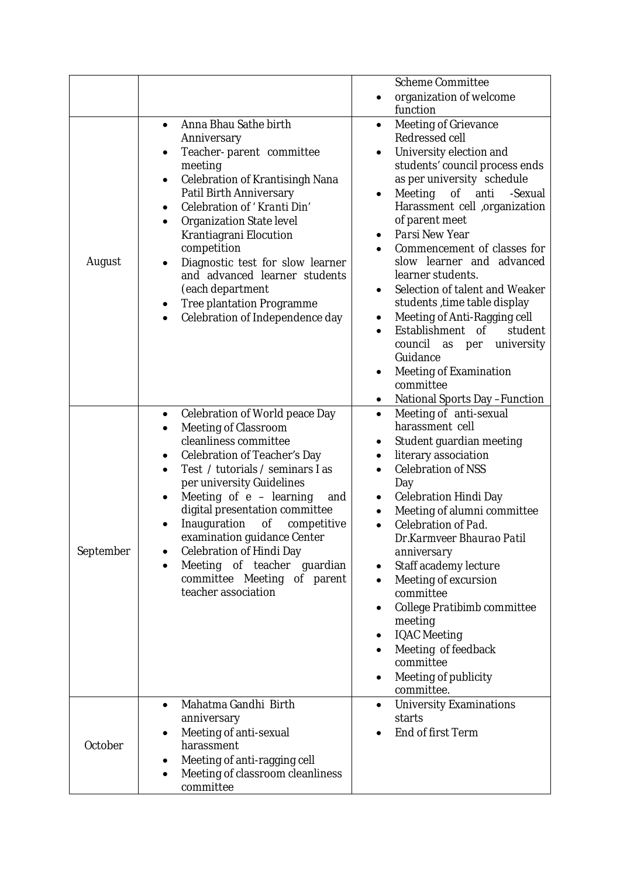|           |                                                                                                                                                                                                                                                                                                                                                                                                                                                                            | <b>Scheme Committee</b>                                                                                                                                                                                                                                                                                                                                                                                                                                                                                                                                                                                                      |
|-----------|----------------------------------------------------------------------------------------------------------------------------------------------------------------------------------------------------------------------------------------------------------------------------------------------------------------------------------------------------------------------------------------------------------------------------------------------------------------------------|------------------------------------------------------------------------------------------------------------------------------------------------------------------------------------------------------------------------------------------------------------------------------------------------------------------------------------------------------------------------------------------------------------------------------------------------------------------------------------------------------------------------------------------------------------------------------------------------------------------------------|
|           |                                                                                                                                                                                                                                                                                                                                                                                                                                                                            | organization of welcome<br>function                                                                                                                                                                                                                                                                                                                                                                                                                                                                                                                                                                                          |
| August    | Anna Bhau Sathe birth<br>Anniversary<br>Teacher-parent committee<br>$\bullet$<br>meeting<br>Celebration of Krantisingh Nana<br>$\bullet$<br>Patil Birth Anniversary<br>Celebration of 'Kranti Din'<br>Organization State level<br>Krantiagrani Elocution<br>competition<br>Diagnostic test for slow learner<br>and advanced learner students<br>(each department<br>Tree plantation Programme<br>٠<br>Celebration of Independence day                                      | Meeting of Grievance<br>$\bullet$<br>Redressed cell<br>University election and<br>students' council process ends<br>as per university schedule<br>Meeting of anti<br>-Sexual<br>Harassment cell ,organization<br>of parent meet<br>Parsi New Year<br>Commencement of classes for<br>slow learner and advanced<br>learner students.<br>Selection of talent and Weaker<br>$\bullet$<br>students, time table display<br>Meeting of Anti-Ragging cell<br>Establishment of<br>student<br>university<br>council<br>as per<br>Guidance<br>Meeting of Examination<br>$\bullet$<br>committee<br><b>National Sports Day - Function</b> |
| September | Celebration of World peace Day<br>$\bullet$<br>Meeting of Classroom<br>$\bullet$<br>cleanliness committee<br>Celebration of Teacher's Day<br>٠<br>Test / tutorials / seminars I as<br>per university Guidelines<br>Meeting of $e$ – learning<br>and<br>digital presentation committee<br>Inauguration<br>of<br>competitive<br>examination guidance Center<br>Celebration of Hindi Day<br>Meeting of teacher guardian<br>committee Meeting of parent<br>teacher association | Meeting of anti-sexual<br>$\bullet$<br>harassment cell<br>Student guardian meeting<br>٠<br>literary association<br>$\bullet$<br><b>Celebration of NSS</b><br>Day<br>Celebration Hindi Day<br>$\bullet$<br>Meeting of alumni committee<br>Celebration of Pad.<br>Dr.Karmveer Bhaurao Patil<br>anniversary<br>Staff academy lecture<br>Meeting of excursion<br>committee<br>College Pratibimb committee<br>meeting<br><b>IQAC</b> Meeting<br>Meeting of feedback<br>committee<br>Meeting of publicity<br>committee.                                                                                                            |
| October   | Mahatma Gandhi Birth<br>anniversary<br>Meeting of anti-sexual<br>harassment<br>Meeting of anti-ragging cell<br>٠<br>Meeting of classroom cleanliness<br>$\bullet$<br>committee                                                                                                                                                                                                                                                                                             | <b>University Examinations</b><br>starts<br>End of first Term                                                                                                                                                                                                                                                                                                                                                                                                                                                                                                                                                                |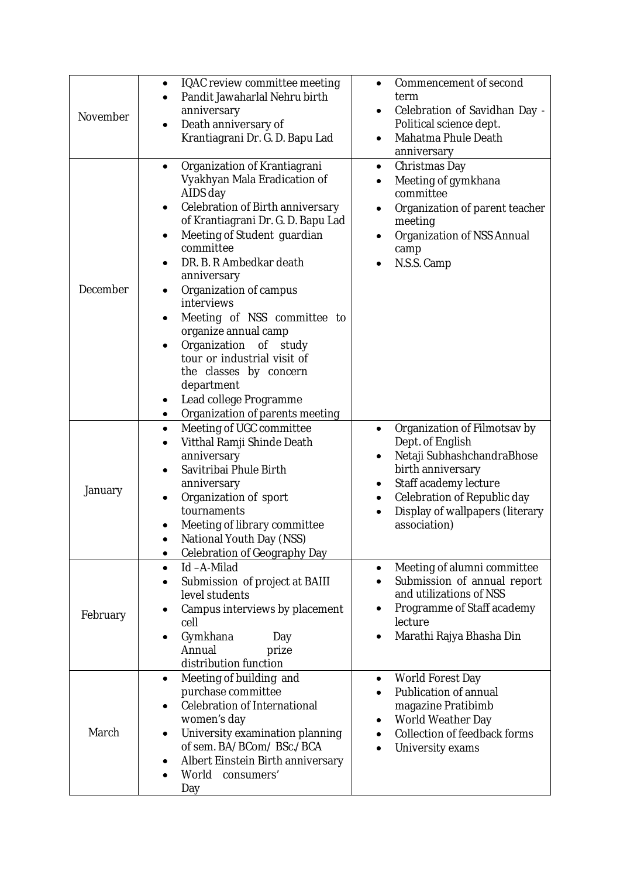| November | IQAC review committee meeting<br>$\bullet$<br>Pandit Jawaharlal Nehru birth<br>anniversary<br>Death anniversary of<br>$\bullet$<br>Krantiagrani Dr. G. D. Bapu Lad                                                                                                                                                                                                                                                                                                                                                | Commencement of second<br>$\bullet$<br>term<br>Celebration of Savidhan Day -<br>Political science dept.<br>Mahatma Phule Death<br>anniversary                                                                       |
|----------|-------------------------------------------------------------------------------------------------------------------------------------------------------------------------------------------------------------------------------------------------------------------------------------------------------------------------------------------------------------------------------------------------------------------------------------------------------------------------------------------------------------------|---------------------------------------------------------------------------------------------------------------------------------------------------------------------------------------------------------------------|
| December | Organization of Krantiagrani<br>Vyakhyan Mala Eradication of<br>AIDS day<br>Celebration of Birth anniversary<br>of Krantiagrani Dr. G. D. Bapu Lad<br>Meeting of Student guardian<br>committee<br>DR. B. R Ambedkar death<br>anniversary<br>Organization of campus<br>interviews<br>Meeting of NSS committee to<br>organize annual camp<br>Organization of study<br>tour or industrial visit of<br>the classes by concern<br>department<br>Lead college Programme<br>Organization of parents meeting<br>$\bullet$ | Christmas Day<br>$\bullet$<br>Meeting of gymkhana<br>committee<br>Organization of parent teacher<br>$\bullet$<br>meeting<br>Organization of NSS Annual<br>camp<br>N.S.S. Camp                                       |
| January  | Meeting of UGC committee<br>$\bullet$<br>Vitthal Ramji Shinde Death<br>anniversary<br>Savitribai Phule Birth<br>anniversary<br>Organization of sport<br>tournaments<br>Meeting of library committee<br>National Youth Day (NSS)<br>Celebration of Geography Day<br>$\bullet$                                                                                                                                                                                                                                      | Organization of Filmotsav by<br>Dept. of English<br>Netaji SubhashchandraBhose<br>birth anniversary<br>Staff academy lecture<br>Celebration of Republic day<br>٠<br>Display of wallpapers (literary<br>association) |
| February | Id-A-Milad<br>$\bullet$<br>Submission of project at BAIII<br>level students<br>Campus interviews by placement<br>cell<br>Gymkhana<br>Day<br>$\bullet$<br>Annual<br>prize<br>distribution function                                                                                                                                                                                                                                                                                                                 | Meeting of alumni committee<br>Submission of annual report<br>and utilizations of NSS<br>Programme of Staff academy<br>lecture<br>Marathi Rajya Bhasha Din                                                          |
| March    | Meeting of building and<br>$\bullet$<br>purchase committee<br>Celebration of International<br>women's day<br>University examination planning<br>$\bullet$<br>of sem. BA/BCom/ BSc./BCA<br>Albert Einstein Birth anniversary<br>World<br>consumers'<br>Day                                                                                                                                                                                                                                                         | World Forest Day<br>$\bullet$<br>Publication of annual<br>magazine Pratibimb<br>World Weather Day<br>Collection of feedback forms<br>University exams                                                               |